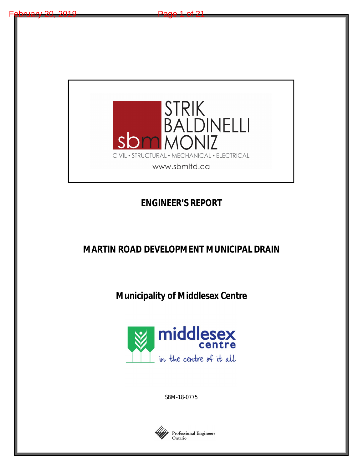

# **ENGINEER'S REPORT**

**MARTIN ROAD DEVELOPMENT MUNICIPAL DRAIN**

**Municipality of Middlesex Centre**



SBM-18-0775

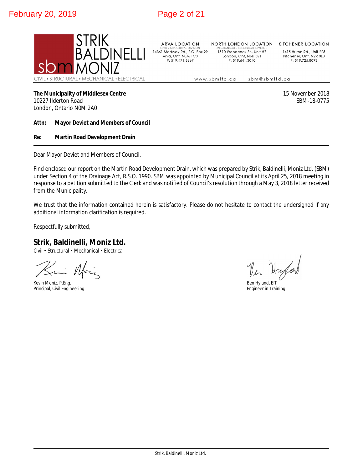

**ARVA LOCATION** 14361 Medway Rd., P.O. Box 29 Arva, Ont, N0M 1C0 P: 519.471.6667

**NORTH LONDON LOCATION** 1510 Woodcock St., Unit #7 London, Ont, N6H 5S1 P: 519.641.3040

**KITCHENER LOCATION** 

1415 Huron Rd., Unit 225 Kitchener, Ont, N2R 0L3 P: 519.725.8093

www.sbmltd.ca sbm@sbmltd.ca

## **The Municipality of Middlesex Centre** 15 November 2018

10227 Ilderton Road SBM-18-0775 London, Ontario N0M 2A0

## **Attn: Mayor Deviet and Members of Council**

## **Re: Martin Road Development Drain**

Dear Mayor Deviet and Members of Council,

Find enclosed our report on the Martin Road Development Drain, which was prepared by Strik, Baldinelli, Moniz Ltd. (SBM) under Section 4 of the Drainage Act, R.S.O. 1990. SBM was appointed by Municipal Council at its April 25, 2018 meeting in response to a petition submitted to the Clerk and was notified of Council's resolution through a May 3, 2018 letter received from the Municipality.

We trust that the information contained herein is satisfactory. Please do not hesitate to contact the undersigned if any additional information clarification is required.

Respectfully submitted,

# **Strik, Baldinelli, Moniz Ltd.**

Civil • Structural • Mechanical • Electrical

Mai

Kevin Moniz, P.Eng. Ben Hyland, EIT Principal, Civil Engineering

The Happy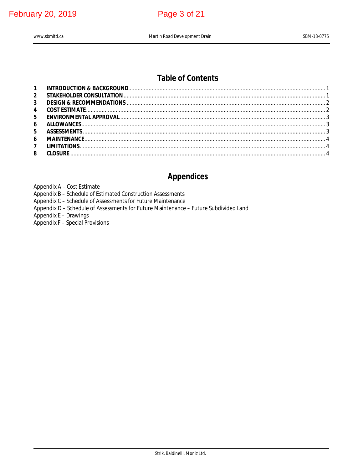**February 20, 2019** 

# Page 3 of 21

www.sbmltd.ca

# **Table of Contents**

| ENVIRONMENTAL APPROVAL ENTERTAINMENTAL APPROVAL |
|-------------------------------------------------|
|                                                 |
|                                                 |
|                                                 |
|                                                 |
|                                                 |
|                                                 |

# **Appendices**

Appendix A - Cost Estimate

Appendix B - Schedule of Estimated Construction Assessments

Appendix C - Schedule of Assessments for Future Maintenance

Appendix D - Schedule of Assessments for Future Maintenance - Future Subdivided Land

Appendix E - Drawings<br>Appendix F - Special Provisions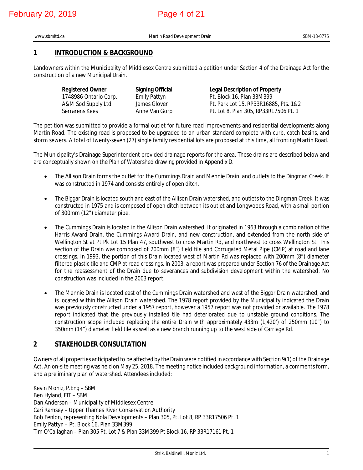# **1 INTRODUCTION & BACKGROUND**

Landowners within the Municipality of Middlesex Centre submitted a petition under Section 4 of the Drainage Act for the construction of a new Municipal Drain.

| <b>Registered Owner</b> | <b>Signing Official</b> | <b>Legal Description of Property</b>  |
|-------------------------|-------------------------|---------------------------------------|
| 1748986 Ontario Corp.   | <b>Emily Pattyn</b>     | Pt. Block 16, Plan 33M399             |
| A&M Sod Supply Ltd.     | James Glover            | Pt. Park Lot 15, RP33R16885, Pts. 1&2 |
| Serrarens Kees          | Anne Van Gorp           | Pt. Lot 8, Plan 305, RP33R17506 Pt. 1 |

The petition was submitted to provide a formal outlet for future road improvements and residential developments along Martin Road. The existing road is proposed to be upgraded to an urban standard complete with curb, catch basins, and storm sewers. A total of twenty-seven (27) single family residential lots are proposed at this time, all fronting Martin Road.

The Municipality's Drainage Superintendent provided drainage reports for the area. These drains are described below and are conceptually shown on the Plan of Watershed drawing provided in Appendix D.

- The Allison Drain forms the outlet for the Cummings Drain and Mennie Drain, and outlets to the Dingman Creek. It was constructed in 1974 and consists entirely of open ditch.
- The Biggar Drain is located south and east of the Allison Drain watershed, and outlets to the Dingman Creek. It was constructed in 1975 and is composed of open ditch between its outlet and Longwoods Road, with a small portion of 300mm (12") diameter pipe.
- The Cummings Drain is located in the Allison Drain watershed. It originated in 1963 through a combination of the Harris Award Drain, the Cummings Award Drain, and new construction, and extended from the north side of Wellington St at Pt Pk Lot 15 Plan 47, southwest to cross Martin Rd, and northwest to cross Wellington St. This section of the Drain was composed of 200mm (8") field tile and Corrugated Metal Pipe (CMP) at road and lane crossings. In 1993, the portion of this Drain located west of Martin Rd was replaced with 200mm (8") diameter filtered plastic tile and CMP at road crossings. In 2003, a report was prepared under Section 76 of the Drainage Act for the reassessment of the Drain due to severances and subdivision development within the watershed. No construction was included in the 2003 report.
- The Mennie Drain is located east of the Cummings Drain watershed and west of the Biggar Drain watershed, and is located within the Allison Drain watershed. The 1978 report provided by the Municipality indicated the Drain was previously constructed under a 1957 report, however a 1957 report was not provided or available. The 1978 report indicated that the previously installed tile had deteriorated due to unstable ground conditions. The construction scope included replacing the entire Drain with approximately 433m (1,420') of 250mm (10") to 350mm (14") diameter field tile as well as a new branch running up to the west side of Carriage Rd.

# **2 STAKEHOLDER CONSULTATION**

Owners of all properties anticipated to be affected by the Drain were notified in accordance with Section 9(1) of the Drainage Act. An on-site meeting was held on May 25, 2018. The meeting notice included background information, a comments form, and a preliminary plan of watershed. Attendees included:

Kevin Moniz, P.Eng – SBM Ben Hyland, EIT – SBM Dan Anderson – Municipality of Middlesex Centre Cari Ramsey – Upper Thames River Conservation Authority Bob Fenlon, representing Nola Developments – Plan 305, Pt. Lot 8, RP 33R17506 Pt. 1 Emily Pattyn – Pt. Block 16, Plan 33M399 Tim O'Callaghan – Plan 305 Pt. Lot 7 & Plan 33M399 Pt Block 16, RP 33R17161 Pt. 1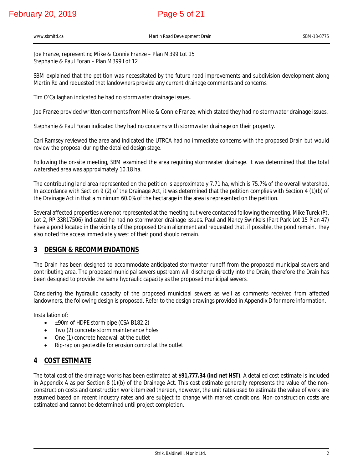# February 20, 2019 **Page 5 of 21**

Joe Franze, representing Mike & Connie Franze – Plan M399 Lot 15 Stephanie & Paul Foran – Plan M399 Lot 12

SBM explained that the petition was necessitated by the future road improvements and subdivision development along Martin Rd and requested that landowners provide any current drainage comments and concerns.

Tim O'Callaghan indicated he had no stormwater drainage issues.

Joe Franze provided written comments from Mike & Connie Franze, which stated they had no stormwater drainage issues.

Stephanie & Paul Foran indicated they had no concerns with stormwater drainage on their property.

Cari Ramsey reviewed the area and indicated the UTRCA had no immediate concerns with the proposed Drain but would review the proposal during the detailed design stage.

Following the on-site meeting, SBM examined the area requiring stormwater drainage. It was determined that the total watershed area was approximately 10.18 ha.

The contributing land area represented on the petition is approximately 7.71 ha, which is 75.7% of the overall watershed. In accordance with Section 9 (2) of the Drainage Act, it was determined that the petition complies with Section 4 (1)(b) of the Drainage Act in that a minimum 60.0% of the hectarage in the area is represented on the petition.

Several affected properties were not represented at the meeting but were contacted following the meeting. Mike Turek (Pt. Lot 2, RP 33R17506) indicated he had no stormwater drainage issues. Paul and Nancy Swinkels (Part Park Lot 15 Plan 47) have a pond located in the vicinity of the proposed Drain alignment and requested that, if possible, the pond remain. They also noted the access immediately west of their pond should remain.

# **3 DESIGN & RECOMMENDATIONS**

The Drain has been designed to accommodate anticipated stormwater runoff from the proposed municipal sewers and contributing area. The proposed municipal sewers upstream will discharge directly into the Drain, therefore the Drain has been designed to provide the same hydraulic capacity as the proposed municipal sewers.

Considering the hydraulic capacity of the proposed municipal sewers as well as comments received from affected landowners, the following design is proposed. Refer to the design drawings provided in Appendix D for more information.

Installation of:

- ±90m of HDPE storm pipe (CSA B182.2)
- Two (2) concrete storm maintenance holes
- One (1) concrete headwall at the outlet
- Rip-rap on geotextile for erosion control at the outlet

# **4 COST ESTIMATE**

The total cost of the drainage works has been estimated at **\$91,777.34 (incl net HST)**. A detailed cost estimate is included in Appendix A as per Section 8 (1)(b) of the Drainage Act. This cost estimate generally represents the value of the nonconstruction costs and construction work itemized thereon, however, the unit rates used to estimate the value of work are assumed based on recent industry rates and are subject to change with market conditions. Non-construction costs are estimated and cannot be determined until project completion.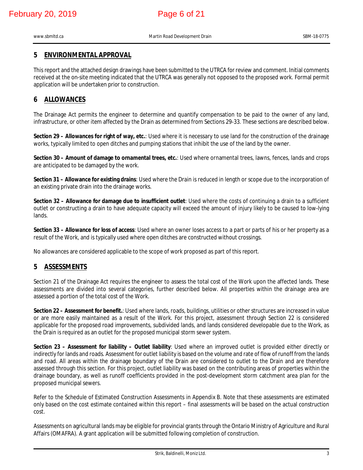# **5 ENVIRONMENTAL APPROVAL**

This report and the attached design drawings have been submitted to the UTRCA for review and comment. Initial comments received at the on-site meeting indicated that the UTRCA was generally not opposed to the proposed work. Formal permit application will be undertaken prior to construction.

# **6 ALLOWANCES**

The Drainage Act permits the engineer to determine and quantify compensation to be paid to the owner of any land, infrastructure, or other item affected by the Drain as determined from Sections 29-33. These sections are described below.

**Section 29 – Allowances for right of way, etc.**: Used where it is necessary to use land for the construction of the drainage works, typically limited to open ditches and pumping stations that inhibit the use of the land by the owner.

**Section 30 – Amount of damage to ornamental trees, etc.**: Used where ornamental trees, lawns, fences, lands and crops are anticipated to be damaged by the work.

**Section 31 – Allowance for existing drains**: Used where the Drain is reduced in length or scope due to the incorporation of an existing private drain into the drainage works.

**Section 32 – Allowance for damage due to insufficient outlet**: Used where the costs of continuing a drain to a sufficient outlet or constructing a drain to have adequate capacity will exceed the amount of injury likely to be caused to low-lying lands.

**Section 33 – Allowance for loss of access**: Used where an owner loses access to a part or parts of his or her property as a result of the Work, and is typically used where open ditches are constructed without crossings.

No allowances are considered applicable to the scope of work proposed as part of this report.

# **5 ASSESSMENTS**

Section 21 of the Drainage Act requires the engineer to assess the total cost of the Work upon the affected lands. These assessments are divided into several categories, further described below. All properties within the drainage area are assessed a portion of the total cost of the Work.

**Section 22 – Assessment for benefit.**: Used where lands, roads, buildings, utilities or other structures are increased in value or are more easily maintained as a result of the Work. For this project, assessment through Section 22 is considered applicable for the proposed road improvements, subdivided lands, and lands considered developable due to the Work, as the Drain is required as an outlet for the proposed municipal storm sewer system.

**Section 23 – Assessment for liability – Outlet liability**: Used where an improved outlet is provided either directly or indirectly for lands and roads. Assessment for outlet liability is based on the volume and rate of flow of runoff from the lands and road. All areas within the drainage boundary of the Drain are considered to outlet to the Drain and are therefore assessed through this section. For this project, outlet liability was based on the contributing areas of properties within the drainage boundary, as well as runoff coefficients provided in the post-development storm catchment area plan for the proposed municipal sewers.

Refer to the Schedule of Estimated Construction Assessments in Appendix B. Note that these assessments are estimated only based on the cost estimate contained within this report – final assessments will be based on the actual construction cost.

Assessments on agricultural lands may be eligible for provincial grants through the Ontario Ministry of Agriculture and Rural Affairs (OMAFRA). A grant application will be submitted following completion of construction.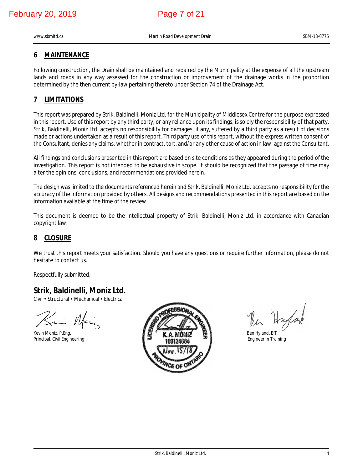www.sbmltd.ca SBM-18-0775 SBM-18-0775

# **6 MAINTENANCE**

Following construction, the Drain shall be maintained and repaired by the Municipality at the expense of all the upstream lands and roads in any way assessed for the construction or improvement of the drainage works in the proportion determined by the then current by-law pertaining thereto under Section 74 of the Drainage Act.

# **7 LIMITATIONS**

This report was prepared by Strik, Baldinelli, Moniz Ltd. for the Municipality of Middlesex Centre for the purpose expressed in this report. Use of this report by any third party, or any reliance upon its findings, is solely the responsibility of that party. Strik, Baldinelli, Moniz Ltd. accepts no responsibility for damages, if any, suffered by a third party as a result of decisions made or actions undertaken as a result of this report. Third party use of this report, without the express written consent of the Consultant, denies any claims, whether in contract, tort, and/or any other cause of action in law, against the Consultant.

All findings and conclusions presented in this report are based on site conditions as they appeared during the period of the investigation. This report is not intended to be exhaustive in scope. It should be recognized that the passage of time may alter the opinions, conclusions, and recommendations provided herein.

The design was limited to the documents referenced herein and Strik, Baldinelli, Moniz Ltd. accepts no responsibility for the accuracy of the information provided by others. All designs and recommendations presented in this report are based on the information available at the time of the review.

This document is deemed to be the intellectual property of Strik, Baldinelli, Moniz Ltd. in accordance with Canadian copyright law.

# **8 CLOSURE**

We trust this report meets your satisfaction. Should you have any questions or require further information, please do not hesitate to contact us.

Respectfully submitted,

# **Strik, Baldinelli, Moniz Ltd.**

Civil • Structural • Mechanical • Electrical

Saint Main



The Highard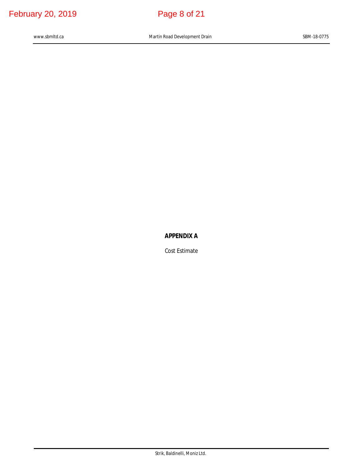# **APPENDIX A**

Cost Estimate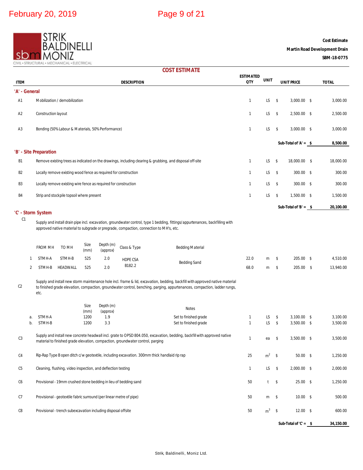

**Cost Estimate**

## **Martin Road Development Drain**

**SBM-18-0775**

| <b>COST ESTIMATE</b> |  |  |  |
|----------------------|--|--|--|
|----------------------|--|--|--|

| <b>ITEM</b>                                                                                                                                                                                                                               |                                                              |                        |                                            |              |                                                                     | <b>DESCRIPTION</b>                                                             |                                                                                                                                                                                                                                                           | <b>ESTIMATED</b><br><b>QTY</b> | <b>UNIT</b>    |               | <b>UNIT PRICE</b>      |  | <b>TOTAL</b> |
|-------------------------------------------------------------------------------------------------------------------------------------------------------------------------------------------------------------------------------------------|--------------------------------------------------------------|------------------------|--------------------------------------------|--------------|---------------------------------------------------------------------|--------------------------------------------------------------------------------|-----------------------------------------------------------------------------------------------------------------------------------------------------------------------------------------------------------------------------------------------------------|--------------------------------|----------------|---------------|------------------------|--|--------------|
| 'A' - General                                                                                                                                                                                                                             |                                                              |                        |                                            |              |                                                                     |                                                                                |                                                                                                                                                                                                                                                           |                                |                |               |                        |  |              |
| A1                                                                                                                                                                                                                                        |                                                              |                        | Mobilization / demobilization              |              |                                                                     |                                                                                |                                                                                                                                                                                                                                                           | $\mathbf{1}$                   | LS.            | \$            | $3,000.00$ \$          |  | 3,000.00     |
| A <sub>2</sub>                                                                                                                                                                                                                            |                                                              | Construction layout    |                                            |              |                                                                     |                                                                                |                                                                                                                                                                                                                                                           | 1                              | LS.            | $\sqrt{5}$    | 2,500.00 \$            |  | 2,500.00     |
| A <sub>3</sub>                                                                                                                                                                                                                            |                                                              |                        |                                            |              | Bonding (50% Labour & Materials, 50% Performance)                   |                                                                                |                                                                                                                                                                                                                                                           | $\mathbf{1}$                   | LS.            | \$            | $3,000.00$ \$          |  | 3,000.00     |
|                                                                                                                                                                                                                                           |                                                              |                        |                                            |              |                                                                     |                                                                                |                                                                                                                                                                                                                                                           |                                |                |               |                        |  |              |
|                                                                                                                                                                                                                                           |                                                              | 'B' - Site Preparation |                                            |              |                                                                     |                                                                                |                                                                                                                                                                                                                                                           |                                |                |               | Sub-Total of 'A' = $$$ |  | 8,500.00     |
| B1                                                                                                                                                                                                                                        |                                                              |                        |                                            |              |                                                                     |                                                                                | Remove existing trees as indicated on the drawings, including clearing & grubbing, and disposal off-site                                                                                                                                                  | 1                              | LS.            | \$            | 18,000.00 \$           |  | 18,000.00    |
| B <sub>2</sub>                                                                                                                                                                                                                            |                                                              |                        |                                            |              | Locally remove existing wood fence as required for construction     |                                                                                |                                                                                                                                                                                                                                                           | $\mathbf{1}$                   | LS.            | \$            | $300.00$ \$            |  | 300.00       |
| B3                                                                                                                                                                                                                                        |                                                              |                        |                                            |              | Locally remove existing wire fence as required for construction     |                                                                                |                                                                                                                                                                                                                                                           | $\mathbf{1}$                   | LS.            | $\sqrt{5}$    | 300.00 \$              |  | 300.00       |
| B4                                                                                                                                                                                                                                        |                                                              |                        | Strip and stock pile topsoil where present |              |                                                                     |                                                                                |                                                                                                                                                                                                                                                           | $\mathbf{1}$                   | LS             | \$            | 1,500.00 \$            |  | 1,500.00     |
|                                                                                                                                                                                                                                           |                                                              |                        |                                            |              |                                                                     |                                                                                |                                                                                                                                                                                                                                                           |                                |                |               | Sub-Total of 'B' = $$$ |  | 20,100.00    |
|                                                                                                                                                                                                                                           |                                                              | 'C' - Storm System     |                                            |              |                                                                     |                                                                                |                                                                                                                                                                                                                                                           |                                |                |               |                        |  |              |
| C <sub>1</sub><br>Supply and install drain pipe incl. excavation, groundwater control, type 1 bedding, fittings/appurtenances, backfilling with<br>approved native material to subgrade or pregrade, compaction, connection to MH's, etc. |                                                              |                        |                                            |              |                                                                     |                                                                                |                                                                                                                                                                                                                                                           |                                |                |               |                        |  |              |
|                                                                                                                                                                                                                                           |                                                              | <b>FROM MH</b>         | TO MH                                      | Size<br>(mm) | Depth (m)<br>(approx)                                               | Class & Type                                                                   | <b>Bedding Material</b>                                                                                                                                                                                                                                   |                                |                |               |                        |  |              |
|                                                                                                                                                                                                                                           | 1                                                            | STMH-A                 | STMH-B                                     | 525          | 2.0                                                                 | HDPE CSA                                                                       | <b>Bedding Sand</b>                                                                                                                                                                                                                                       | 22.0                           | m              | \$            | 205.00 \$              |  | 4,510.00     |
|                                                                                                                                                                                                                                           | 2                                                            | STMH-B                 | HEADWALL                                   | 525          | 2.0                                                                 | B182.2                                                                         |                                                                                                                                                                                                                                                           | 68.0                           | m              | \$            | 205.00 \$              |  | 13,940.00    |
| C <sub>2</sub>                                                                                                                                                                                                                            |                                                              | etc.                   |                                            |              |                                                                     |                                                                                | Supply and install new storm maintenance hole incl. frame & lid, excavation, bedding, backfill with approved native material<br>to finished grade elevation, compaction, groundwater control, benching, parging, appurtenances, compaction, ladder rungs, |                                |                |               |                        |  |              |
|                                                                                                                                                                                                                                           |                                                              |                        |                                            | Size         | Depth (m)                                                           |                                                                                | <b>Notes</b>                                                                                                                                                                                                                                              |                                |                |               |                        |  |              |
|                                                                                                                                                                                                                                           | а.                                                           | STMH-A                 |                                            | (mm)<br>1200 | (approx)<br>1.9                                                     |                                                                                | Set to finished grade                                                                                                                                                                                                                                     | $\mathbf{1}$                   | LS             | \$            | $3,100.00$ \$          |  | 3,100.00     |
|                                                                                                                                                                                                                                           | b.                                                           | STMH-B                 |                                            | 1200         | 3.3                                                                 |                                                                                | Set to finished grade                                                                                                                                                                                                                                     | $\mathbf{1}$                   | LS.            | \$            | $3,500.00$ \$          |  | 3,500.00     |
| C <sub>3</sub>                                                                                                                                                                                                                            |                                                              |                        |                                            |              |                                                                     | material to finished grade elevation, compaction, groundwater control, parging | Supply and install new concrete headwall incl. grate to OPSD 804.050, excavation, bedding, backfill with approved native                                                                                                                                  | 1                              | ea             | \$            | 3,500.00 \$            |  | 3,500.00     |
| C <sub>4</sub>                                                                                                                                                                                                                            |                                                              |                        |                                            |              |                                                                     |                                                                                | Rip-Rap Type B open ditch c/w geotextile, including excavation. 300mm thick handlaid rip rap                                                                                                                                                              | 25                             | $m2$ \$        |               | $50.00$ \$             |  | 1,250.00     |
| C5                                                                                                                                                                                                                                        | Cleaning, flushing, video inspection, and deflection testing |                        |                                            |              |                                                                     |                                                                                |                                                                                                                                                                                                                                                           | $\mathbf{1}$                   | LS             | $\frac{1}{2}$ | $2,000.00$ \$          |  | 2,000.00     |
| C6                                                                                                                                                                                                                                        |                                                              |                        |                                            |              |                                                                     | Provisional - 19mm crushed stone bedding in lieu of bedding sand               |                                                                                                                                                                                                                                                           | 50                             | t              | \$            | $25.00$ \$             |  | 1,250.00     |
| C7                                                                                                                                                                                                                                        |                                                              |                        |                                            |              | Provisional - geotextile fabric surround (per linear metre of pipe) |                                                                                |                                                                                                                                                                                                                                                           | 50                             | m              | $\sqrt{3}$    | $10.00$ \$             |  | 500.00       |
| C8                                                                                                                                                                                                                                        |                                                              |                        |                                            |              | Provisional - trench subexcavation including disposal offsite       |                                                                                |                                                                                                                                                                                                                                                           | 50                             | m <sup>3</sup> | $\sqrt{ }$    | $12.00$ \$             |  | 600.00       |
|                                                                                                                                                                                                                                           |                                                              |                        |                                            |              |                                                                     |                                                                                |                                                                                                                                                                                                                                                           |                                |                |               | Sub-Total of $C =$ \$  |  | 34,150.00    |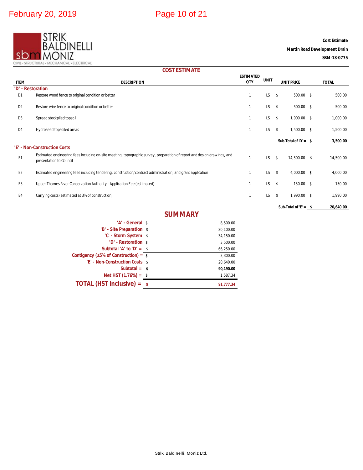

**Cost Estimate**

## **Martin Road Development Drain**

**SBM-18-0775**

# **COST ESTIMATE**

| <b>ITEM</b>       | <b>DESCRIPTION</b>                                                                                                                                  | <b>ESTIMATED</b><br>QTY | <b>UNIT</b> | <b>UNIT PRICE</b>           | <b>TOTAL</b> |
|-------------------|-----------------------------------------------------------------------------------------------------------------------------------------------------|-------------------------|-------------|-----------------------------|--------------|
| 'D' - Restoration |                                                                                                                                                     |                         |             |                             |              |
| D1                | Restore wood fence to original condition or better                                                                                                  |                         | LS.         | \$<br>$500.00$ \$           | 500.00       |
| D <sub>2</sub>    | Restore wire fence to original condition or better                                                                                                  |                         | LS.         | $500.00$ \$<br>$\mathsf{s}$ | 500.00       |
| D <sub>3</sub>    | Spread stockpiled topsoil                                                                                                                           |                         | LS.         | \$<br>1,000.00 \$           | 1,000.00     |
| D <sub>4</sub>    | Hydroseed topsoiled areas                                                                                                                           |                         | LS.         | \$<br>1,500.00 \$           | 1,500.00     |
|                   |                                                                                                                                                     |                         |             | Sub-Total of 'D' = $$$      | 3,500.00     |
|                   | 'E' - Non-Construction Costs                                                                                                                        |                         |             |                             |              |
| E <sub>1</sub>    | Estimated engineering fees including on-site meeting, topographic survey, preparation of report and design drawings, and<br>presentation to Council |                         | LS.         | \$<br>14,500.00 \$          | 14,500.00    |
| E <sub>2</sub>    | Estimated engineering fees including tendering, construction/contract administration, and grant application                                         |                         | LS.         | \$<br>4,000.00 \$           | 4,000.00     |
| E <sub>3</sub>    | Upper Thames River Conservation Authority - Application Fee (estimated)                                                                             |                         | LS.         | 150.00 \$<br>-\$            | 150.00       |
| E4                | Carrying costs (estimated at 3% of construction)                                                                                                    |                         | LS.         | \$<br>1,990.00 \$           | 1,990.00     |
|                   |                                                                                                                                                     |                         |             | Sub-Total of $E' =$ \$      | 20,640.00    |

# **SUMMARY**

| 'A' - General \$                                        | 8,500.00  |
|---------------------------------------------------------|-----------|
| 'B' - Site Preparation \$                               | 20,100.00 |
| 'C' - Storm System \$                                   | 34,150.00 |
| 'D' - Restoration \$                                    | 3,500.00  |
| Subtotal 'A' to 'D' = $\sqrt{s}$                        | 66,250.00 |
| Contigency ( $\pm 5\%$ of Construction) = $\frac{1}{3}$ | 3,300.00  |
| 'E' - Non-Construction Costs \$                         | 20,640.00 |
| Subtotal = $\theta$                                     | 90,190.00 |
| Net HST $(1.76%) =$ \$                                  | 1.587.34  |
| <b>TOTAL (HST Inclusive) = <math>\sqrt{s}</math></b>    | 91.777.34 |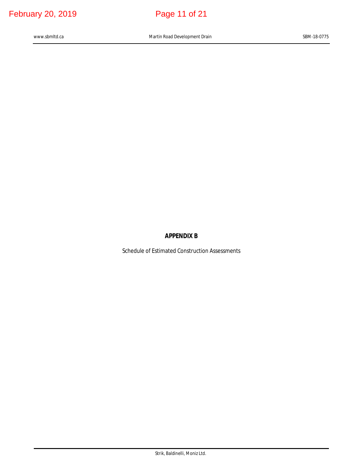# **APPENDIX B**

Schedule of Estimated Construction Assessments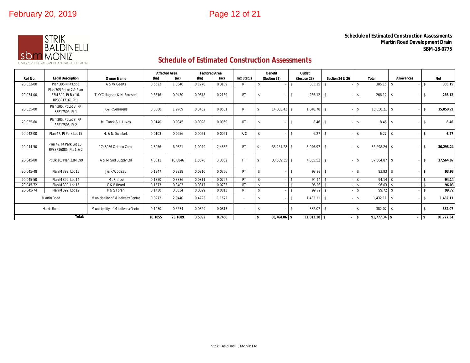

### **Schedule of Estimated Construction Assessments Martin Road Development Drain SBM-18-0775**

# **Schedule of Estimated Construction Assessments**

|           |                                                                   |                                  | <b>Affected Area</b> |         | <b>Factored Area</b> |        |                   | <b>Benefit</b>                     |                    | Outlet         |                            |                                     |                   |              |
|-----------|-------------------------------------------------------------------|----------------------------------|----------------------|---------|----------------------|--------|-------------------|------------------------------------|--------------------|----------------|----------------------------|-------------------------------------|-------------------|--------------|
| Roll No.  | <b>Legal Description</b>                                          | <b>Owner Name</b>                | (ha)                 | (ac)    | (ha)                 | (ac)   | <b>Tax Status</b> | (Section 22)                       |                    | (Section 23)   | <b>Section 24 &amp; 26</b> | <b>Total</b>                        | <b>Allowances</b> | <b>Net</b>   |
| 20-033-00 | Plan 305 N Pt Lot 6                                               | A & W Geerts                     | 0.5523               | 1.3648  | 0.1270               | 0.3139 | <b>RT</b>         | -\$                                |                    | 385.15         | $\mathcal{S}$              | 385.15                              |                   | \$<br>385.15 |
| 20-034-00 | Plan 305 Pt Lot 7 & Plan<br>33M399. Pt Blk 16.<br>RP33R17161 Pt 1 | T. O'Callaghan & N. Forestell    | 0.3816               | 0.9430  | 0.0878               | 0.2169 | <b>RT</b>         | $\mathbf{s}$                       | \$                 | $266.12$ \$    |                            | $266.12$ \$<br>-S                   | $\sim$            | 266.12       |
| 20-035-00 | Plan 305, Pt Lot 8, RP<br>33R17506. Pt 1                          | K & R Serrarens                  | 0.8000               | 1.9769  | 0.3452               | 0.8531 | <b>RT</b>         | 14,003.43 \$<br>-\$                |                    | $1,046.78$ \$  |                            | 15,050.21 \$<br>\$                  |                   | 15,050.21    |
| 20-035-60 | Plan 305, Pt Lot 8, RP<br>33R17506, Pt 2                          | M. Turek & L. Lukas              | 0.0140               | 0.0345  | 0.0028               | 0.0069 | <b>RT</b>         | $\mathbf{s}$                       |                    | 8.46           | -\$                        | $8.46$ \$<br>\$                     |                   | 8.46         |
| 20-042-00 | Plan 47. Pt Park Lot 15                                           | H. & N. Swinkels                 | 0.0103               | 0.0256  | 0.0021               | 0.0051 | R/C               | -\$                                | $\hat{\mathbf{x}}$ | 6.27           | -\$                        | $6.27$ \$<br>$\mathbf{\hat{S}}$     |                   | 6.27         |
| 20-044-50 | Plan 47. Pt Park Lot 15.<br>RP33R16885, Pts 1 & 2                 | 1748986 Ontario Corp.            | 2.8256               | 6.9821  | 1.0049               | 2.4832 | <b>RT</b>         | 33,251.28 \$                       |                    | 3.046.97       | - \$                       | 36.298.24 \$<br>\$                  | $\sim$            | 36.298.24    |
| 20-045-00 | Pt Blk 16, Plan 33M399                                            | A & M Sod Supply Ltd             | 4.0811               | 10.0846 | 1.3376               | 3.3052 | FT.               | 33,509.35 \$                       |                    | 4,055.52       | - \$                       | 37,564.87 \$<br>\$                  |                   | 37,564.87    |
| 20-045-48 | Plan M399, Lot 15                                                 | J & K Woolsey                    | 0.1347               | 0.3328  | 0.0310               | 0.0766 | <b>RT</b>         |                                    |                    | $93.93$ \$     |                            | $93.93$ \$<br>$\mathbf{\hat{S}}$    |                   | 93.93        |
| 20-045-50 | Plan M399, Lot 14                                                 | M. Franze                        | 0.1350               | 0.3336  | 0.0311               | 0.0767 | <b>RT</b>         | $\mathsf{\$}$                      | $\hat{\mathbf{x}}$ | $94.14$ \$     |                            | $94.14$ \$<br>\$                    |                   | 94.14        |
| 20-045-72 | Plan M399, Lot 13                                                 | G & B Heard                      | 0.1377               | 0.3403  | 0.0317               | 0.0783 | <b>RT</b>         | $\hat{\mathbf{S}}$                 |                    | 96.03          | $\mathbf{\hat{S}}$         | $96.03$ \$<br>¢                     |                   | 96.03        |
| 20-045-74 | Plan M399, Lot 12                                                 | P & S Foran                      | 0.1430               | 0.3534  | 0.0329               | 0.0813 | <b>RT</b>         | $\mathbf{\hat{S}}$                 |                    | 99.72          | $\mathbf{\hat{s}}$         | 99.72 \$                            |                   | 99.72        |
|           | Martin Road                                                       | Municipality of Middlesex Centre | 0.8272               | 2.0440  | 0.4723               | 1.1672 |                   | -\$                                | $\mathbf{\hat{S}}$ | 1,432.11       | -\$                        | $1,432.11$ \$<br>$\mathbf{\hat{S}}$ |                   | 1,432.11     |
|           | Harris Road                                                       | Municipality of Middlesex Centre | 0.1430               | 0.3534  | 0.0329               | 0.0813 | $\sim$            | -\$                                | $\hat{\mathbf{r}}$ | 382.07         | -\$                        | $382.07$ \$<br>-S                   |                   | 382.07       |
|           | <b>Totals</b>                                                     |                                  | 10.1855              | 25.1689 | 3.5392               | 8.7456 |                   | 80.764.06 \$<br>$\mathbf{\hat{z}}$ |                    | $11.013.28$ \$ |                            | $91,777.34$ \$<br>Ŝ.                |                   | 91,777.34    |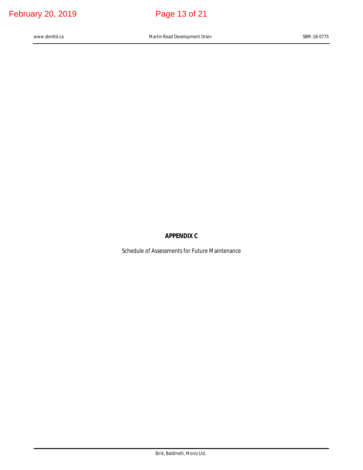# **APPENDIX C**

Schedule of Assessments for Future Maintenance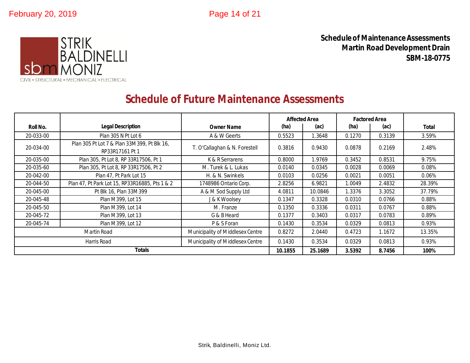

**Schedule of Maintenance Assessments Martin Road Development Drain SBM-18-0775**

# **Schedule of Future Maintenance Assessments**

|             |                                                                |                                  |         | <b>Affected Area</b> | <b>Factored Area</b> |        |              |
|-------------|----------------------------------------------------------------|----------------------------------|---------|----------------------|----------------------|--------|--------------|
| Roll No.    | <b>Legal Description</b>                                       | <b>Owner Name</b>                | (ha)    | (ac)                 | (ha)                 | (ac)   | <b>Total</b> |
| 20-033-00   | Plan 305 N Pt Lot 6                                            | A & W Geerts                     | 0.5523  | .3648                | 0.1270               | 0.3139 | 3.59%        |
| 20-034-00   | Plan 305 Pt Lot 7 & Plan 33M399, Pt Blk 16,<br>RP33R17161 Pt 1 | T. O'Callaghan & N. Forestell    | 0.3816  | 0.9430               | 0.0878               | 0.2169 | 2.48%        |
| 20-035-00   | Plan 305, Pt Lot 8, RP 33R17506, Pt 1                          | K & R Serrarens                  | 0.8000  | 1.9769               | 0.3452               | 0.8531 | 9.75%        |
| 20-035-60   | Plan 305, Pt Lot 8, RP 33R17506, Pt 2                          | M. Turek & L. Lukas              | 0.0140  | 0.0345               | 0.0028               | 0.0069 | 0.08%        |
| 20-042-00   | Plan 47, Pt Park Lot 15                                        | H. & N. Swinkels                 | 0.0103  | 0.0256               | 0.0021               | 0.0051 | 0.06%        |
| 20-044-50   | Plan 47, Pt Park Lot 15, RP33R16885, Pts 1 & 2                 | 1748986 Ontario Corp.            | 2.8256  | 6.9821               | 1.0049               | 2.4832 | 28.39%       |
| 20-045-00   | Pt Blk 16, Plan 33M399                                         | A & M Sod Supply Ltd             | 4.0811  | 10.0846              | 1.3376               | 3.3052 | 37.79%       |
| 20-045-48   | Plan M399, Lot 15                                              | J & K Woolsey                    | 0.1347  | 0.3328               | 0.0310               | 0.0766 | 0.88%        |
| 20-045-50   | Plan M399, Lot 14                                              | M. Franze                        | 0.1350  | 0.3336               | 0.0311               | 0.0767 | 0.88%        |
| 20-045-72   | Plan M399, Lot 13                                              | G & B Heard                      | 0.1377  | 0.3403               | 0.0317               | 0.0783 | 0.89%        |
| 20-045-74   | Plan M399, Lot 12                                              | P & S Foran                      | 0.1430  | 0.3534               | 0.0329               | 0.0813 | 0.93%        |
| Martin Road |                                                                | Municipality of Middlesex Centre | 0.8272  | 2.0440               | 0.4723               | 1.1672 | 13.35%       |
|             | Harris Road                                                    | Municipality of Middlesex Centre | 0.1430  | 0.3534               | 0.0329               | 0.0813 | 0.93%        |
|             | <b>Totals</b>                                                  |                                  | 10.1855 | 25.1689              | 3.5392               | 8.7456 | 100%         |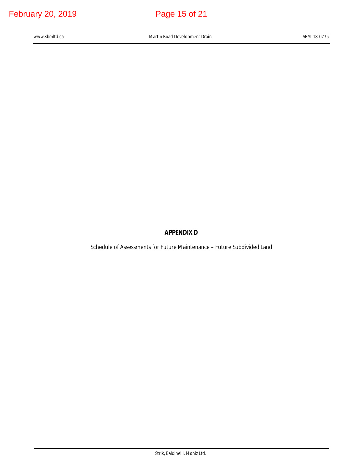# **APPENDIX D**

Schedule of Assessments for Future Maintenance – Future Subdivided Land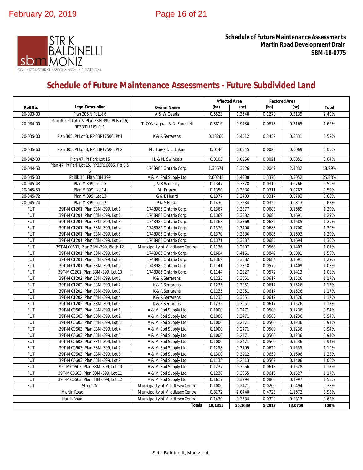

**Schedule of Future Maintenance Assessments Martin Road Development Drain SBM-18-0775**

# **Schedule of Future Maintenance Assessments - Future Subdivided Land**

|            |                                                                |                                  | <b>Affected Area</b> |         | <b>Factored Area</b> |                       |              |
|------------|----------------------------------------------------------------|----------------------------------|----------------------|---------|----------------------|-----------------------|--------------|
| Roll No.   | <b>Legal Description</b>                                       | <b>Owner Name</b>                | (ha)<br>(ac)         |         | (ha)                 | (ac)                  | <b>Total</b> |
| 20-033-00  | Plan 305 N Pt Lot 6                                            | A & W Geerts                     | 0.5523               | 1.3648  | 0.1270               | 0.3139                | 2.40%        |
| 20-034-00  | Plan 305 Pt Lot 7 & Plan 33M399, Pt Blk 16,<br>RP33R17161 Pt 1 | T. O'Callaghan & N. Forestell    | 0.3816               | 0.9430  | 0.0878               | 0.2169                | 1.66%        |
| 20-035-00  | Plan 305, Pt Lot 8, RP 33R17506, Pt 1                          | K & R Serrarens                  | 0.18260              | 0.4512  | 0.3452               | 0.8531                | 6.52%        |
| 20-035-60  | Plan 305, Pt Lot 8, RP 33R17506, Pt 2                          | M. Turek & L. Lukas              | 0.0140               | 0.0345  | 0.0028               | 0.0069                | 0.05%        |
| 20-042-00  | Plan 47, Pt Park Lot 15                                        | H. & N. Swinkels                 | 0.0103               | 0.0256  | 0.0021               | 0.0051                | 0.04%        |
| 20-044-50  | Plan 47, Pt Park Lot 15, RP33R16885, Pts 1 &<br>2              | 1748986 Ontario Corp.            | 1.35674              | 3.3526  | 1.0049               | 2.4832                | 18.99%       |
| 20-045-00  | Pt Blk 16, Plan 33M399                                         | A & M Sod Supply Ltd             | 2.60248              | 6.4308  | 1.3376               | 3.3052                | 25.28%       |
| 20-045-48  | Plan M399, Lot 15                                              | J & K Woolsey                    | 0.1347               | 0.3328  | 0.0310               | 0.0766                | 0.59%        |
| 20-045-50  | Plan M399, Lot 14                                              | M. Franze                        | 0.1350               | 0.3336  | 0.0311               | 0.0767                | 0.59%        |
| 20-045-72  | Plan M399, Lot 13                                              | G & B Heard                      | 0.1377               | 0.3403  | 0.0317               | 0.0783                | 0.60%        |
| 20-045-74  | Plan M399, Lot 12                                              | P & S Foran                      | 0.1430               | 0.3534  | 0.0329               | 0.0813                | 0.62%        |
| <b>FUT</b> | 39T-MC1201, Plan 33M-399, Lot 1                                | 1748986 Ontario Corp.            | 0.1367               | 0.3377  | 0.0683               | 0.1689                | 1.29%        |
| <b>FUT</b> | 39T-MC1201, Plan 33M-399, Lot 2                                | 1748986 Ontario Corp.            | 0.1369               | 0.3382  | 0.0684               | 0.1691                | 1.29%        |
| <b>FUT</b> | 39T-MC1201, Plan 33M-399, Lot 3                                | 1748986 Ontario Corp.            | 0.1363               | 0.3369  | 0.0682               | 0.1685                | 1.29%        |
| <b>FUT</b> | 39T-MC1201, Plan 33M-399, Lot 4                                | 1748986 Ontario Corp.            | 0.1376               | 0.3400  | 0.0688               | 0.1700                | 1.30%        |
| <b>FUT</b> | 39T-MC1201, Plan 33M-399, Lot 5                                | 1748986 Ontario Corp.            | 0.1370               | 0.3386  | 0.0685               | 0.1693                | 1.29%        |
| <b>FUT</b> | 39T-MC1201, Plan 33M-399, Lot 6                                | 1748986 Ontario Corp.            | 0.1371               | 0.3387  | 0.0685               | 0.1694                | 1.30%        |
| <b>FUT</b> | 39T-MC0601, Plan 33M-399, Block 12                             | Municipality of Middlesex Centre | 0.1136               | 0.2807  | 0.0568               | 0.1403                | 1.07%        |
| <b>FUT</b> | 39T-MC1201, Plan 33M-399, Lot 7                                | 1748986 Ontario Corp.            | 0.1684               | 0.4161  | 0.0842               | 0.2081                | 1.59%        |
| <b>FUT</b> | 39T-MC1201, Plan 33M-399, Lot 8                                | 1748986 Ontario Corp.            | 0.1369               | 0.3382  | 0.0684               | 0.1691                | 1.29%        |
| <b>FUT</b> | 39T-MC1201, Plan 33M-399, Lot 9                                | 1748986 Ontario Corp.            | 0.1141               | 0.2818  | 0.0570               | 0.1409                | 1.08%        |
| <b>FUT</b> | 39T-MC1201, Plan 33M-399, Lot 10                               | 1748986 Ontario Corp.            | 0.1144               | 0.2827  | 0.0572               | $\overline{0}$ . 1413 | 1.08%        |
| <b>FUT</b> | 39T-MC1202, Plan 33M-399, Lot 1                                | K & R Serrarens                  | 0.1235               | 0.3051  | 0.0617               | 0.1526                | 1.17%        |
| <b>FUT</b> | 39T-MC1202, Plan 33M-399, Lot 2                                | K & R Serrarens                  | 0.1235               | 0.3051  | 0.0617               | 0.1526                | 1.17%        |
| <b>FUT</b> | 39T-MC1202, Plan 33M-399, Lot 3                                | K & R Serrarens                  | 0.1235               | 0.3051  | 0.0617               | 0.1526                | 1.17%        |
| <b>FUT</b> | 39T-MC1202, Plan 33M-399, Lot 4                                | K & R Serrarens                  | 0.1235               | 0.3051  | 0.0617               | 0.1526                | 1.17%        |
| <b>FUT</b> | 39T-MC1202, Plan 33M-399, Lot 5                                | K & R Serrarens                  | 0.1235               | 0.3051  | 0.0617               | 0.1526                | 1.17%        |
| <b>FUT</b> | 39T-MC0603, Plan 33M-399, Lot 1                                | A & M Sod Supply Ltd             | 0.1000               | 0.2471  | 0.0500               | 0.1236                | 0.94%        |
| <b>FUT</b> | 39T-MC0603, Plan 33M-399, Lot 2                                | A & M Sod Supply Ltd             | 0.1000               | 0.2471  | 0.0500               | 0.1236                | 0.94%        |
| <b>FUT</b> | 39T-MC0603, Plan 33M-399, Lot 3                                | A & M Sod Supply Ltd             | 0.1000               | 0.2471  | 0.0500               | 0.1236                | 0.94%        |
| <b>FUT</b> | 39T-MC0603, Plan 33M-399, Lot 4                                | A & M Sod Supply Ltd             | 0.1000               | 0.2471  | 0.0500               | 0.1236                | 0.94%        |
| <b>FUT</b> | 39T-MC0603, Plan 33M-399, Lot 5                                | A & M Sod Supply Ltd             | 0.1000               | 0.2471  | 0.0500               | 0.1236                | 0.94%        |
| <b>FUT</b> | 39T-MC0603, Plan 33M-399, Lot 6                                | A & M Sod Supply Ltd             | 0.1000               | 0.2471  | 0.0500               | 0.1236                | 0.94%        |
| <b>FUT</b> | 39T-MC0603, Plan 33M-399, Lot 7                                | A & M Sod Supply Ltd             | 0.1258               | 0.3109  | 0.0629               | 0.1555                | 1.19%        |
| <b>FUT</b> | 39T-MC0603, Plan 33M-399, Lot 8                                | A & M Sod Supply Ltd             | 0.1300               | 0.3212  | 0.0650               | 0.1606                | 1.23%        |
| <b>FUT</b> | 39T-MC0603, Plan 33M-399, Lot 9                                | A & M Sod Supply Ltd             | 0.1138               | 0.2813  | 0.0569               | 0.1406                | 1.08%        |
| <b>FUT</b> | 39T-MC0603, Plan 33M-399, Lot 10                               | A & M Sod Supply Ltd             | 0.1237               | 0.3056  | 0.0618               | 0.1528                | 1.17%        |
| <b>FUT</b> | 39T-MC0603, Plan 33M-399, Lot 11                               | A & M Sod Supply Ltd             | 0.1236               | 0.3055  | 0.0618               | 0.1527                | 1.17%        |
| <b>FUT</b> | 39T-MC0603, Plan 33M-399, Lot 12                               | A & M Sod Supply Ltd             | 0.1617               | 0.3994  | 0.0808               | 0.1997                | 1.53%        |
| <b>FUT</b> | Street 'A'                                                     | Municipality of Middlesex Centre | 0.1000               | 0.2471  | 0.0200               | 0.0494                | 0.38%        |
|            | Martin Road                                                    | Municipality of Middlesex Centre | 0.8272               | 2.0440  | 0.4723               | 1.1672                | 8.93%        |
|            | Harris Road                                                    | Municipality of Middlesex Centre | 0.1430               | 0.3534  | 0.0329               | 0.0813                | 0.62%        |
|            |                                                                | <b>Totals</b>                    | 10.1855              | 25.1689 | 5.2917               | 13.0759               | 100%         |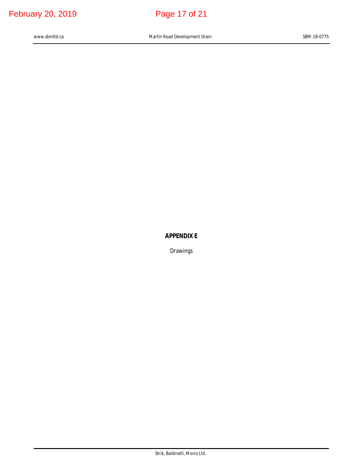# **APPENDIX E**

Drawings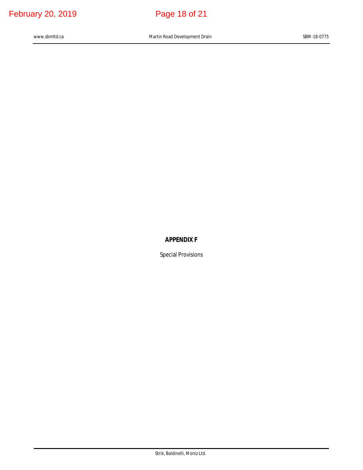# **APPENDIX F**

Special Provisions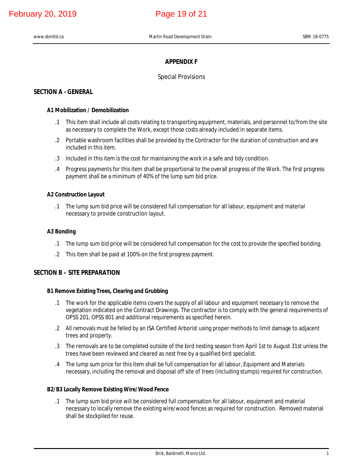## **APPENDIX F**

## Special Provisions

# **SECTION A - GENERAL**

## **A1 Mobilization / Demobilization**

- .1 This item shall include all costs relating to transporting equipment, materials, and personnel to/from the site as necessary to complete the Work, except those costs already included in separate items.
- .2 Portable washroom facilities shall be provided by the Contractor for the duration of construction and are included in this item.
- .3 Included in this item is the cost for maintaining the work in a safe and tidy condition.
- .4 Progress payments for this item shall be proportional to the overall progress of the Work. The first progress payment shall be a minimum of 40% of the lump sum bid price.

## **A2 Construction Layout**

.1 The lump sum bid price will be considered full compensation for all labour, equipment and material necessary to provide construction layout.

## **A3 Bonding**

- .1 The lump sum bid price will be considered full compensation for the cost to provide the specified bonding.
- .2 This item shall be paid at 100% on the first progress payment.

## **SECTION B – SITE PREPARATION**

## **B1 Remove Existing Trees, Clearing and Grubbing**

- .1 The work for the applicable items covers the supply of all labour and equipment necessary to remove the vegetation indicated on the Contract Drawings. The contractor is to comply with the general requirements of OPSS 201, OPSS 801 and additional requirements as specified herein.
- .2 All removals must be felled by an ISA Certified Arborist using proper methods to limit damage to adjacent trees and property.
- .3 The removals are to be completed outside of the bird nesting season from April 1st to August 31st unless the trees have been reviewed and cleared as nest free by a qualified bird specialist.
- .4 The lump sum price for this item shall be full compensation for all labour, Equipment and Materials necessary, including the removal and disposal off site of trees (including stumps) required for construction.

## **B2/B3 Locally Remove Existing Wire/Wood Fence**

.1 The lump sum bid price will be considered full compensation for all labour, equipment and material necessary to locally remove the existing wire/wood fences as required for construction. Removed material shall be stockpiled for reuse.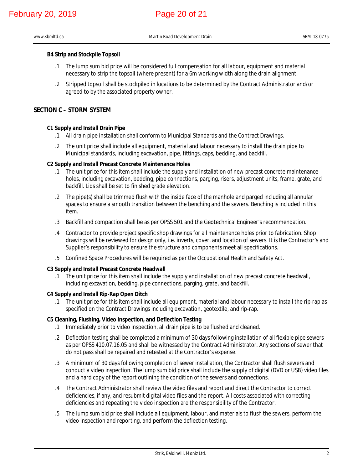## **B4 Strip and Stockpile Topsoil**

- .1 The lump sum bid price will be considered full compensation for all labour, equipment and material necessary to strip the topsoil (where present) for a 6m working width along the drain alignment.
- .2 Stripped topsoil shall be stockpiled in locations to be determined by the Contract Administrator and/or agreed to by the associated property owner.

## **SECTION C – STORM SYSTEM**

## **C1 Supply and Install Drain Pipe**

- .1 All drain pipe installation shall conform to Municipal Standards and the Contract Drawings.
- .2 The unit price shall include all equipment, material and labour necessary to install the drain pipe to Municipal standards, including excavation, pipe, fittings, caps, bedding, and backfill.

## **C2 Supply and Install Precast Concrete Maintenance Holes**

- .1 The unit price for this item shall include the supply and installation of new precast concrete maintenance holes, including excavation, bedding, pipe connections, parging, risers, adjustment units, frame, grate, and backfill. Lids shall be set to finished grade elevation.
- .2 The pipe(s) shall be trimmed flush with the inside face of the manhole and parged including all annular spaces to ensure a smooth transition between the benching and the sewers. Benching is included in this item.
- .3 Backfill and compaction shall be as per OPSS 501 and the Geotechnical Engineer's recommendation.
- .4 Contractor to provide project specific shop drawings for all maintenance holes prior to fabrication. Shop drawings will be reviewed for design only, i.e. inverts, cover, and location of sewers. It is the Contractor's and Supplier's responsibility to ensure the structure and components meet all specifications.
- .5 Confined Space Procedures will be required as per the Occupational Health and Safety Act.

## **C3 Supply and Install Precast Concrete Headwall**

.1 The unit price for this item shall include the supply and installation of new precast concrete headwall, including excavation, bedding, pipe connections, parging, grate, and backfill.

## **C4 Supply and Install Rip-Rap Open Ditch**

.1 The unit price for this item shall include all equipment, material and labour necessary to install the rip-rap as specified on the Contract Drawings including excavation, geotextile, and rip-rap.

## **C5 Cleaning, Flushing, Video Inspection, and Deflection Testing**

- .1 Immediately prior to video inspection, all drain pipe is to be flushed and cleaned.
- .2 Deflection testing shall be completed a minimum of 30 days following installation of all flexible pipe sewers as per OPSS 410.07.16.05 and shall be witnessed by the Contract Administrator. Any sections of sewer that do not pass shall be repaired and retested at the Contractor's expense.
- .3 A minimum of 30 days following completion of sewer installation, the Contractor shall flush sewers and conduct a video inspection. The lump sum bid price shall include the supply of digital (DVD or USB) video files and a hard copy of the report outlining the condition of the sewers and connections.
- .4 The Contract Administrator shall review the video files and report and direct the Contractor to correct deficiencies, if any, and resubmit digital video files and the report. All costs associated with correcting deficiencies and repeating the video inspection are the responsibility of the Contractor.
- .5 The lump sum bid price shall include all equipment, labour, and materials to flush the sewers, perform the video inspection and reporting, and perform the deflection testing.